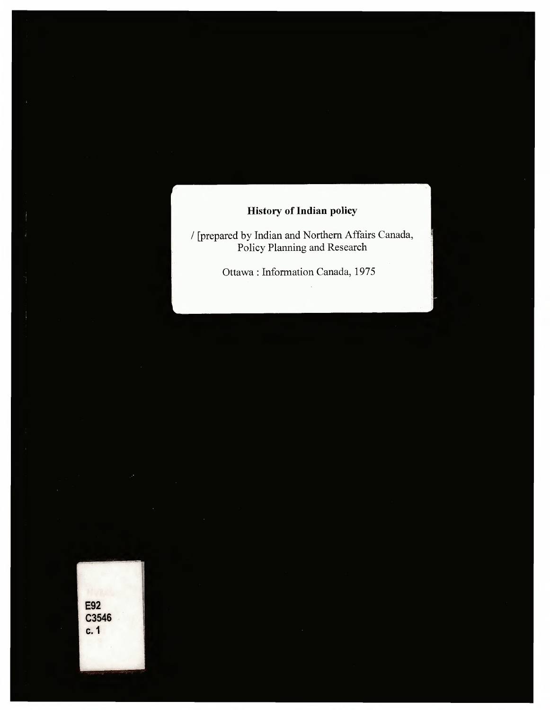## **History** of Indian policy

/ [prepared by Indian and Northern Affairs Canada, Policy Planning and Research

Ottawa : Information Canada, 1975

**E92** C3546  $c.1$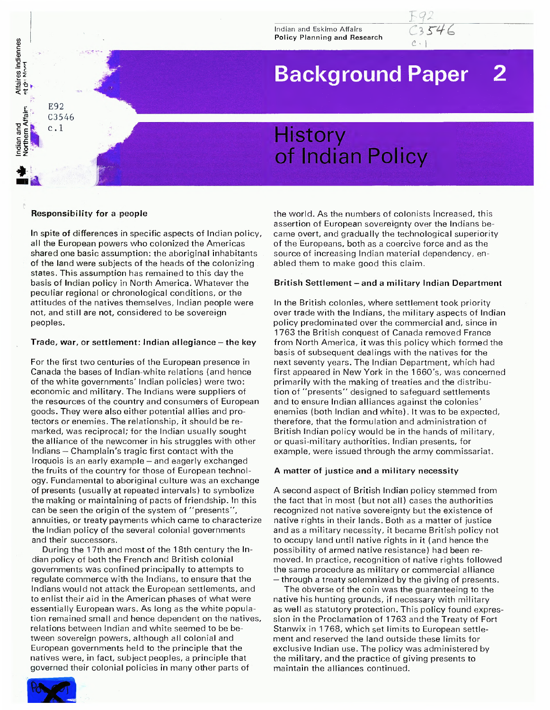Indian and Eskimo Affairs Policy Planning and Research

# **Background Paper 2**

*c.* I

# **History** of Indian Policy

## **Responsibility for a people**

Indian and Affaires indiennes Northern Affairs <sup>et d' Nord</sup>

an and<br>thern Affairs et du Nord

E92 C3546

 $c.1$ 

In spite of differences in specific aspects of Indian policy, all the European powers who colonized the Americas shared one basic assumption: the aboriginal inhabitants of the land were subjects of the heads of the colonizing states. This assumption has remained to this day the basis of Indian policy in North America. Whatever the peculiar regional or chronological conditions, or the attitudes of the natives themselves, Indian people were not, and still are not, considered to be sovereign peoples.

### **Trade, war, or settlement: Indian allegiance - the key**

For the first two centuries of the European presence in Canada the bases of Indian-white relations (and hence of the white governments' Indian policies) were two: economic and military. The Indians were suppliers of the resources of the country and consumers of European goods. They were also either potential allies and protectors or enemies. The relationship, it should be remarked, was reciprocal; for the Indian usually sought the alliance of the newcomer in his struggles with other Indians — Champlain's tragic first contact with the Iroquois is an early example — and eagerly exchanged the fruits of the country for those of European technology. Fundamental to aboriginal culture was an exchange of presents (usually at repeated intervals) to symbolize the making or maintaining of pacts of friendship. In this can be seen the origin of the system of "presents", annuities, or treaty payments which came to characterize the Indian policy of the several colonial governments and their successors.

During the 17th and most of the 18th century the Indian policy of both the French and British colonial governments was confined principally to attempts to regulate commerce with the Indians, to ensure that the Indians would not attack the European settlements, and to enlist their aid in the American phases of what were essentially European wars. As long as the white population remained small and hence dependent on the natives, relations between Indian and white seemed to be between sovereign powers, although all colonial and European governments held to the principle that the natives were, in fact, subject peoples, a principle that governed their colonial policies in many other parts of

the world. As the numbers of colonists increased, this assertion of European sovereignty over the Indians became overt, and gradually the technological superiority of the Europeans, both as a coercive force and as the source of increasing Indian material dependency, enabled them to make good this claim.

### **British Settlement - and <sup>a</sup> military Indian Department**

In the British colonies, where settlement took priority over trade with the Indians, the military aspects of Indian policy predominated over the commercial and, since in 1763 the British conquest of Canada removed France from North America, it was this policy which formed the basis of subsequent dealings with the natives for the next seventy years. The Indian Department, which had first appeared in New York in the 1660's, was concerned primarily with the making of treaties and the distribution of "presents" designed to safeguard settlements and to ensure Indian alliances against the colonies' enemies (both Indian and white). It was to be expected, therefore, that the formulation and administration of British Indian policy would be in the hands of military, or quasi-military authorities. Indian presents, for example, were issued through the army commissariat.

## **A matter of justice and a military necessity**

A second aspect of British Indian policy stemmed from the fact that in most (but not all) cases the authorities recognized not native sovereignty but the existence of native rights in their lands. Both as <sup>a</sup> matter of justice and as a military necessity, it became British policy not to occupy land until native rights in it (and hence the possibility of armed native resistance) had been removed. In practice, recognition of native rights followed the same procedure as military or commercial alliance — through a treaty solemnized by the giving of presents.

The obverse of the coin was the guaranteeing to the native his hunting grounds, if necessary with military as well as statutory protection. This policy found expression in the Proclamation of 1763 and the Treaty of Fort Stanwix in 1768, which set limits to European settlement and reserved the land outside these limits for exclusive Indian use. The policy was administered by the military, and the practice of giving presents to maintain the alliances continued.

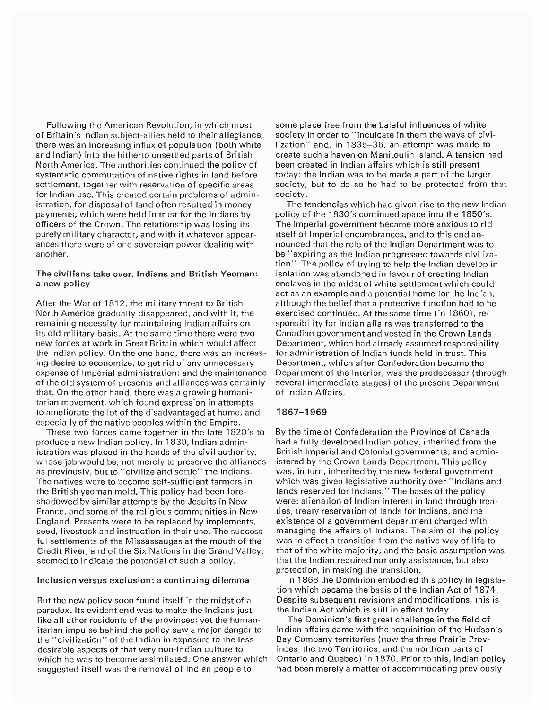Following the American Revolution, in which most of Britain's Indian subject-allies held to their allegiance, there was an increasing influx of population (both white and Indian) into the hitherto unsettled parts of British North America. The authorities continued the policy of systematic commutation of native rights in land before settlement, together with reservation of specific areas for Indian use. This created certain problems of administration, for disposal of land often resulted in money payments, which were held in trust for the Indians by officers of the Crown. The relationship was losing its purely military character, and with it whatever appearances there were of one sovereign power dealing with another.

#### The civilians take over. Indians and British Yeoman: <sup>a</sup> new policy

After the War of 1812, the military threat to British North America gradually disappeared, and with it, the remaining necessity for maintaining Indian affairs on its old military basis. At the same time there were two new forces at work in Great Britain which would affect the Indian policy. On the one hand, there was an increasing desire to economize, to get rid of any unnecessary expense of Imperial administration; and the maintenance of the old system of presents and alliances was certainly that. On the other hand, there was a growing humanitarian movement, which found expression in attempts to ameliorate the lot of the disadvantaged at home, and especially of the native peoples within the Empire.

These two forces came together in the late 1820's to produce a new Indian policy. In 1830, Indian administration was placed in the hands of the civil authority, whose job would be, not merely to preserve the alliances as previously, but to "civilize and settle" the Indians. The natives were to become self-sufficient farmers in the British yeoman mold. This policy had been foreshadowed by similar attempts by the Jesuits in New France, and some of the religious communities in New England. Presents were to be replaced by implements, seed, livestock and instruction in their use. The successful settlements of the Missassaugas at the mouth of the Credit River, and of the Six Nations in the Grand Valley, seemed to indicate the potential of such a policy.

#### Inclusion versus exclusion: a continuing dilemma

But the new policy soon found itself in the midst of a paradox. Its evident end was to make the Indians just like all other residents of the provinces; yet the humanitarian impulse behind the policy saw a major danger to the "civilization" of the Indian in exposure to the less desirable aspects of that very non-Indian culture to which he was to become assimilated. One answer which suggested itself was the removal of Indian people to

some place free from the baleful influences of white society in order to "inculcate in them the ways of civilization" and, in 1835-36, an attempt was made to create such a haven on Manitoulin Island. A tension had been created in Indian affairs which is still present today: the Indian was to be made a part of the larger society, but to do so he had to be protected from that society.

The tendencies which had given rise to the new Indian policy of the 1830's continued apace into the 1850's. The Imperial government became more anxious to rid itself of Imperial encumbrances, and to this end announced that the role of the Indian Department was to be "expiring as the Indian progressed towards civilization". The policy of trying to help the Indian develop in isolation was abandoned in favour of creating Indian enclaves in the midst of white settlement which could act as an example and a potential home for the Indian, although the belief that.a protective function had to be exercised continued. At the same time (in 1860), responsibility for Indian affairs was transferred to the Canadian government and vested in the Crown Lands Department, which had already assumed responsibility for administration of Indian funds held in trust. This Department, which after Confederation became the Department of the Interior, was the predecessor (through several intermediate stages) of the present Department of Indian Affairs.

#### 1867-1969

By the time of Confederation the Province of Canada had <sup>a</sup> fully developed Indian policy, inherited from the British Imperial and Colonial governments, and administered by the Crown Lands Department. This policy was, in turn, inherited by the new federal government which was given legislative authority over "Indians and lands reserved for Indians." The bases of the policy were: alienation of Indian interest in land through treaties, treaty reservation of lands for Indians, and the existence of a government department charged with managing the affairs of Indians. The aim of the policy was to effect a transition from the native way of life to that of the white majority, and the basic assumption was that the Indian required not only assistance, but also protection, in making the transition.

In 1868 the Dominion embodied this policy in legislation which became the basis of the Indian Act of 1874. Despite subsequent revisions and modifications, this is the Indian Act which is still in effect today.

The Dominion's first great challenge in the field of Indian affairs came with the acquisition of the Hudson's Bay Company territories (now the three Prairie Provinces, the two Territories, and the northern parts of Ontario and Quebec) in 1870. Prior to this, Indian policy had been merely a matter of accommodating previously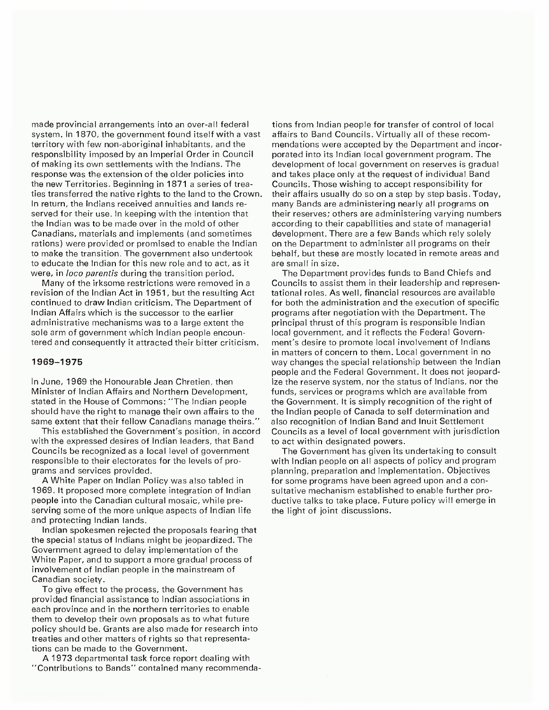made provincial arrangements into an over-all federal system. In 1870, the government found itself with <sup>a</sup> vast territory with few non-aboriginal inhabitants, and the responsibility imposed by an Imperial Order in Council of making its own settlements with the Indians. The response was the extension of the older policies into the new Territories. Beginning in 1871 a series of treaties transferred the native rights to the land to the Crown. In return, the Indians received annuities and lands reserved for their use. In keeping with the intention that the Indian was to be made over in the mold of other Canadians, materials and implements (and sometimes rations) were provided or promised to enable the Indian to make the transition. The government also undertook to educate the Indian for this new role and to act, as it were, in *loco parentis* during the transition period.

Many of the irksome restrictions were removed in <sup>a</sup> revision of the Indian Act in 1951, but the resulting Act continued to draw Indian criticism. The Department of Indian Affairs which is the successor to the earlier administrative mechanisms was to a large extent the sole arm of government which Indian people encountered and consequently it attracted their bitter criticism.

#### 1969-1975

In June, 1969 the Honourable Jean Chretien, then Minister of Indian Affairs and Northern Development, stated in the House of Commons: "The Indian people should have the right to manage their own affairs to the same extent that their fellow Canadians manage theirs."

This established the Government's position, in accord with the expressed desires of Indian leaders, that Band Councils be recognized as a local level of government responsible to their electorates for the levels of programs and services provided.

A White Paper on Indian Policy was also tabled in 1969. It proposed more complete integration of Indian people into the Canadian cultural mosaic, while preserving some of the more unique aspects of Indian life and protecting Indian lands.

Indian spokesmen rejected the proposals fearing that the special status of Indians might be jeopardized. The Government agreed to delay implementation of the White Paper, and to support a more gradual process of involvement of Indian people in the mainstream of Canadian society.

To give effect to the process, the Government has provided financial assistance to Indian associations in each province and in the northern territories to enable them to develop their own proposals as to what future policy should be. Grants are also made for research into treaties and other matters of rights so that representations can be made to the Government.

A 1973 departmental task force report dealing with "Contributions to Bands" contained many recommendations from Indian people for transfer of control of local affairs to Band Councils. Virtually all of these recommendations were accepted by the Department and incorporated into its Indian local government program. The development of local government on reserves is gradual and takes place only at the request of individual Band Councils. Those wishing to accept responsibility for their affairs usually do so on <sup>a</sup> step by step basis. Today, many Bands are administering nearly all programs on their reserves; others are administering varying numbers according to their capabilities and state of managerial development. There are a few Bands which rely solely on the Department to administer all programs on their behalf, but these are mostly located in remote areas and are small in size.

The Department provides funds to Band Chiefs and Councils to assist them in their leadership and representational roles. As well, financial resources are available for both the administration and the execution of specific programs after negotiation with the Department. The principal thrust of this program is responsible Indian local government, and it reflects the Federal Government's desire to promote local involvement of Indians in matters of concern to them. Local government in no way changes the special relationship between the Indian people and the Federal Government. It does not jeopardize the reserve system, nor the status of Indians, nor the funds, services or programs which are available from the Government. It is simply recognition of the right of the Indian people of Canada to self determination and also recognition of Indian Band and Inuit Settlement Councils as <sup>a</sup> level of local government with jurisdiction to act within designated powers.

The Government has given its undertaking to consult with Indian people on all aspects of policy and program planning, preparation and implementation. Objectives for some programs have been agreed upon and <sup>a</sup> consultative mechanism established to enable further productive talks to take place. Future policy will emerge in the light of joint discussions.